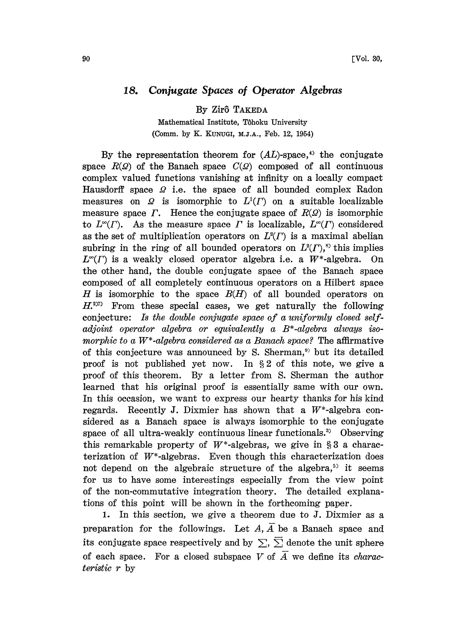## 18. Conjugate Spaces of Operator Algebras

By Zir8 TAKEDA

Mathematical Institute, Tôhoku University (Comm. by K. KUNUGI, M.J.A., Feb. 12, 1954)

By the representation theorem for  $(AL)$ -space,<sup>4)</sup> the conjugate space  $R(\mathcal{Q})$  of the Banach space  $C(\mathcal{Q})$  composed of all continuous complex valued functions vanishing at infinity on a locally compact Hausdorff space  $\Omega$  i.e. the space of all bounded complex Radon measures on  $\Omega$  is isomorphic to  $L^1(\Gamma)$  on a suitable localizable measure space  $\Gamma$ . Hence the conjugate space of  $R(\mathcal{Q})$  is isomorphic to  $L^{\infty}(I)$ . As the measure space  $\Gamma$  is localizable,  $L^{\infty}(I)$  considered as the set of multiplication operators on  $L^2(\Gamma)$  is a maximal abelian subring in the ring of all bounded operators on  $L^2(\Gamma)$ ,<sup>s)</sup> this implies  $L^{\infty}(\Gamma)$  is a weakly closed operator algebra i.e. a W\*-algebra. On the other hand, the double conjugate space of the Banach space composed of all completely continuous operators on a Hilbert space H is isomorphic to the space  $B(H)$  of all bounded operators on  $H<sup>207</sup>$  From these special cases, we get naturally the following conjecture: Is the double conjugate space of a uniformly closed selfadjoint operator algebra or equivalently a B\*-algebra always isomorphic to a  $W^*$ -algebra considered as a Banach space? The affirmative of this conjecture was announced by S. Sherman,") but its detailed proof is not published yet now. In §2 of this note, we give a proof of this theorem. By a letter from S. Sherman the author learned that his original proof is essentially same with our own. In this occasion, we want to express our hearty thanks for his kind regards. Recently J. Dixmier has shown that a  $W^*$ -algebra considered as a Banach space is always isomorphic to the conjugate space of all ultra-weakly continuous linear functionals.<sup>3</sup> Observing this remarkable property of  $W^*$ -algebras, we give in §3 a characterization of  $W^*$ -algebras. Even though this characterization does not depend on the algebraic structure of the algebra,<sup>53</sup> it seems for us to have some interestings especially from the view point of the non-commutative integration theory. The detailed explanations of this point will be shown in the forthcoming paper.

1. In this section, we give a theorem due to J. Dixmier as a preparation for the followings. Let  $A, \overline{A}$  be a Banach space and its conjugate space respectively and by  $\sum$ ,  $\sum$  denote the unit sphere of each space. For a closed subspace V of  $\overline{A}$  we define its *charac*teristic r by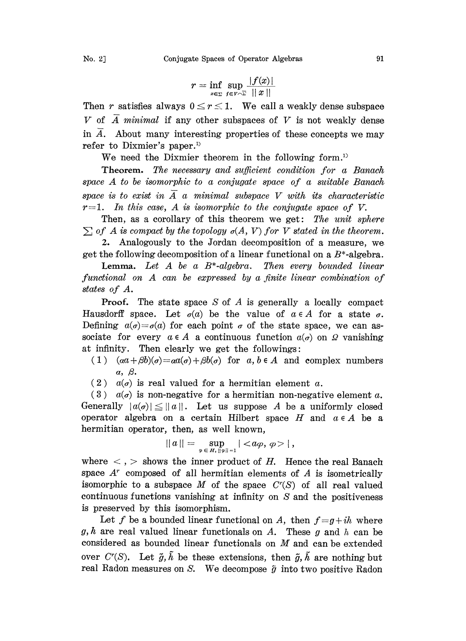$$
No. 2]
$$

$$
r = \inf_{x \in \Sigma} \sup_{f \in V \cap \Sigma} \frac{|f(x)|}{\|x\|}
$$

Then r satisfies always  $0 \le r \le 1$ . We call a weakly dense subspace V of  $\overline{A}$  minimal if any other subspaces of V is not weakly dense in  $\overline{A}$ . About many interesting properties of these concepts we may refer to Dixmier's paper.<sup>1)</sup>

We need the Dixmier theorem in the following form.<sup>1)</sup>

Theorem. The necessary and sufficient condition for a Banach space A to be isomorphic to <sup>a</sup> conjugate space of <sup>a</sup> suitable Banach space is to exist in  $\overline{A}$  a minimal subspace V with its characteristic  $r=1$ . In this case, A is isomorphic to the conjugate space of V.

Then, as a corollary of this theorem we get: The unit sphere  $\sum$  of A is compact by the topology  $\sigma(A, V)$  for V stated in the theorem.

2. Analogously to the Jordan decomposition of a measure, we get the following decomposition of a linear functional on a  $B^*$ -algebra.

**Lemma.** Let  $A$  be a  $B^*$ -algebra. Then every bounded linear functional on A can be expressed by <sup>a</sup> finite linear combination of states of A.

**Proof.** The state space S of A is generally a locally compact Hausdorff space. Let  $\sigma(a)$  be the value of  $a \in A$  for a state  $\sigma$ . Defining  $a(\sigma)=\sigma(a)$  for each point  $\sigma$  of the state space, we can associate for every  $a \in A$  a continuous function  $a(\sigma)$  on  $\Omega$  vanishing at infinity. Then clearly we get the followings:

- (1)  $(aa+\beta b)(\sigma)=aa(\sigma)+\beta b(\sigma)$  for  $a, b \in A$  and complex numbers  $\alpha$ ,  $\beta$ .
- (2)  $a(\sigma)$  is real valued for a hermitian element a.

 $(3)$  a( $\sigma$ ) is non-negative for a hermitian non-negative element a. Generally  $|a(\sigma)| \le ||a||$ . Let us suppose A be a uniformly closed operator algebra on a certain Hilbert space  $H$  and  $a \in A$  be a hermitian operator, then, as well known,

$$
||a|| = \sup_{\varphi \in H, ||\varphi|| = 1} | |,
$$

where  $\langle , \rangle$  shows the inner product of H. Hence the real Banach space  $A^r$  composed of all hermitian elements of  $A$  is isometrically isomorphic to a subspace M of the space  $C<sup>r</sup>(S)$  of all real valued continuous functions vanishing at infinity on  $S$  and the positiveness is preserved by this isomorphism.

Let f be a bounded linear functional on A, then  $f = g + ih$  where g, h are real valued linear functionals on A. These g and h can be considered as bounded linear functionals on M and can be extended over  $C^r(S)$ . Let  $\tilde{g}, \tilde{h}$  be these extensions, then  $\tilde{g}, \tilde{h}$  are nothing but real Radon measures on S. We decompose  $\tilde{y}$  into two positive Radon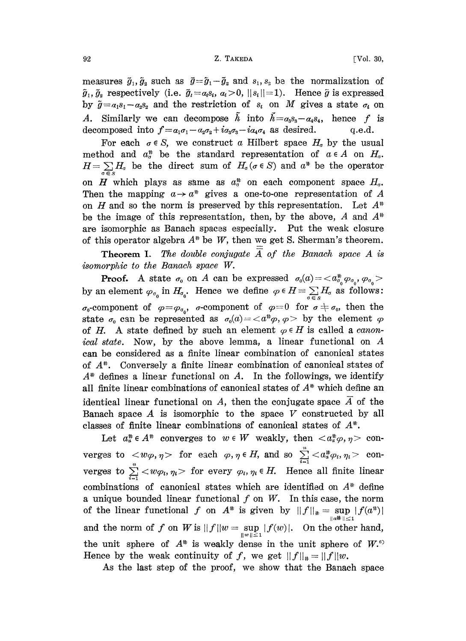## 92 **Z. TAKEDA Vol. 30,**

measures  $\tilde{g}_1, \tilde{g}_2$  such as  $\tilde{g}=\tilde{g}_1-\tilde{g}_2$  and  $s_1, s_2$  be the normalization of  $\tilde{g}_1, \tilde{g}_2$  respectively (i.e.  $\tilde{g}_i = a_i s_i, a_i > 0, ||s_i|| = 1$ ). Hence  $\tilde{g}$  is expressed by  $\tilde{g} = a_1 s_1 - a_2 s_2$  and the restriction of  $s_i$  on M gives a state  $\sigma_i$  on A. Similarly we can decompose  $\tilde{h}$  into  $\tilde{h}=a_3s_3-a_4s_4$ , hence f is decomposed into  $f = a_1\sigma_1 - a_2\sigma_2 + i a_3\sigma_3 - i a_4\sigma_4$  as desired, q.e.d.

For each  $\sigma \in S$ , we construct a Hilbert space  $H_{\sigma}$  by the usual method and  $a_{\sigma}^*$  be the standard representation of  $a \in A$  on  $H_{\sigma}$ .  $H=\sum_{\sigma\in S}H_{\sigma}$  be the direct sum of  $H_{\sigma}(\sigma\in S)$  and  $\alpha^{*}$  be the operator on H which plays as same as  $a^*_{\sigma}$  on each component space  $H_{\sigma}$ . Then the mapping  $a \rightarrow a^*$  gives a one-to-one representation of A on H and so the norm is preserved by this representation. Let  $A^*$ be the image of this representation, then, by the above, A and  $A^*$ of this operator algebra  $A^*$  be W, then we get S. Sherman's theorem. are isomorphic as Banach spaces especially. Put the weak closure-

Theorem I. The double conjugate A of the Banach space A is somorphic to the Banach space W.

**Proof.** A state  $\sigma_0$  on A can be expressed  $\sigma_0(a) = \langle a_{\sigma_0}^* \varphi_{\sigma_0}, \varphi_{\sigma_0} \rangle$ <br>by an element  $\varphi_{\sigma_0}$  in  $H_{\sigma_0}$ . Hence we define  $\varphi \in H = \sum_{\sigma \in S} H_{\sigma}$  as follows:  $\sigma_0$ -component of  $\varphi = \varphi_{\sigma_0}$ ,  $\sigma$ -component of  $\varphi = 0$  for  $\sigma \neq \sigma_0$ , then the state  $\sigma_0$  can be represented as  $\sigma_0(a) = \langle a^{\dagger \dagger} \varphi, \varphi \rangle$  by the element  $\varphi$ of H. A state defined by such an element  $\varphi \in H$  is called a canonical state. Now, by the above lemma, a linear functional on A can be considered as a finite linear combination of canonical states of  $A^*$ . Conversely a finite linear combination of canonical states of  $A^*$  defines a linear functional on A. In the followings, we identify all finite linear combinations of canonical states of  $A^*$  which define an identical linear functional on A, then the conjugate space  $\overline{A}$  of the Banach space  $A$  is isomorphic to the space  $V$  constructed by all classes of finite linear combinations of canonical states of  $A^*$ .

Let  $a^*_{\alpha} \in A^*$  converges to  $w \in W$  weakly, then  $\langle a^*_{\alpha} \varphi, \eta \rangle$  converges to  $\langle w\varphi,\eta\rangle$  for each  $\varphi,\eta\in H$ , and so  $\sum\limits_{i=1}^n< a^*_{\alpha}\varphi_i,\eta_i\rangle$  converges to  $\sum_{i=1}^n \langle w\rho_i, \eta_i \rangle$  for every  $\varphi_i, \eta_i \in H$ . Hence all finite linear combinations of canonical states which are identified on  $A^*$  define a unique bounded linear functional  $f$  on  $W$ . In this case, the norm of the linear functional f on  $A^*$  is given by  $||f||_* = \sup_{||a^*|| \le 1} |f(a^*)|$ and the norm of f on W is  $||f||w = \sup_{||w|| \le 1} |f(w)|$ . On the other hand, the unit sphere of  $A^*$  is weakly dense in the unit sphere of  $W^{\circ}$ Hence by the weak continuity of f, we get  $||f||_{\#} = ||f||_{w}$ .

As the last step of the proof, we show that the Banach space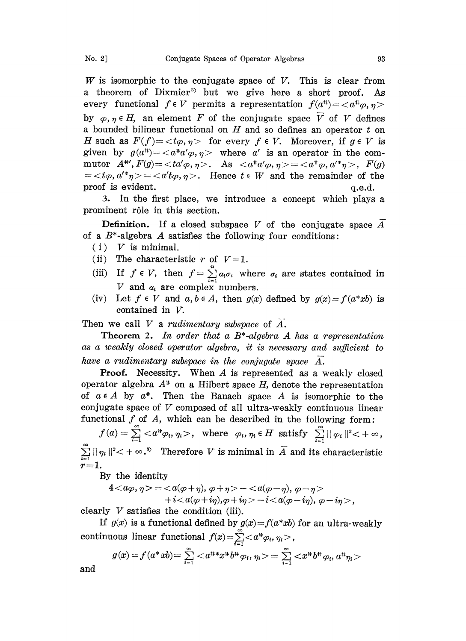W is isomorphic to the conjugate space of V. This is clear from a theorem of Dixmier<sup>3</sup> but we give here a short proof. As every functional  $f \in V$  permits a representation  $f(a^*) = \langle a^* \varphi, \eta \rangle$ by  $\varphi, \eta \in H$ , an element F of the conjugate space  $\overline{V}$  of V defines a bounded bilinear functional on  $H$  and so defines an operator  $t$  on H such as  $F(f)=\langle t\varphi, \eta\rangle$  for every  $f \in V$ . Moreover, if  $g \in V$  is given by  $g(a^*) = \langle a^* a' \varphi, \eta \rangle$  where a' is an operator in the commutor  $A^{\# \prime}$ ,  $F(g) = \langle \tau a' \varphi, \eta \rangle$ . As  $\langle a^{\#} a' \varphi, \eta \rangle = \langle a^{\#} \varphi, a'^{\#} \eta \rangle$ ,  $F(g)$  $=$  <  $t\varphi$ ,  $a'^* \eta$  > = <  $a't\varphi$ ,  $\eta$  >. Hence  $t \in W$  and the remainder of the proof is evident.  $q.e.d.$ 

3. In the first place, we introduce a concept which plays a prominent r61e in this section.

**Definition.** If a closed subspace V of the conjugate space  $A$ of a  $B^*$ -algebra A satisfies the following four conditions:

- $(i)$  V is minimal.
- (ii) The characteristic r of  $V=1$ .
- (iii) If  $f \in V$ , then  $f = \sum_{i=1}^{n} a_i \sigma_i$  where  $\sigma_i$  are states contained in V and  $\alpha_i$  are complex numbers.
- (iv) Let  $f \in V$  and  $a, b \in A$ , then  $g(x)$  defined by  $g(x) = f(a^*xb)$  is contained in V.

Then we call V a rudimentary subspace of  $\overline{A}$ .

**Theorem 2.** In order that a  $B^*$ -algebra A has a representation as a weakly closed operator algebra, it is necessary and sufficient to have a rudimentary subspace in the conjugate space  $\overline{A}$ .

Proof. Necessity. When A is represented as <sup>a</sup> weakly closed operator algebra  $A^*$  on a Hilbert space H, denote the representation of  $a \in A$  by  $a^*$ . Then the Banach space A is isomorphic to the conjugate space of  $V$  composed of all ultra-weakly continuous linear functional  $f$  of  $A$ , which can be described in the following form:

 $f(a) = \sum_{i=1}^{\infty} \langle a^* \varphi_i, \eta_i \rangle$ , where  $\varphi_i, \eta_i \in H$  satisfy  $\sum_{i=1}^{\infty} ||\varphi_i||^2 \langle +\infty,$  $\sum_{i=1}^{\infty} ||\eta_i||^2 < +\infty$ .<sup>3</sup> Therefore V is minimal in  $\overline{A}$  and its characteristic  $r=1$ .

By the identity

4 
$$
\langle a\varphi, \eta \rangle = \langle a(\varphi + \eta), \varphi + \eta \rangle - \langle a(\varphi - \eta), \varphi - \eta \rangle
$$
  
+  $i \langle a(\varphi + i\eta), \varphi + i\eta \rangle - i \langle a(\varphi - i\eta), \varphi - i\eta \rangle$ ,

clearly  $V$  satisfies the condition (iii).

If  $g(x)$  is a functional defined by  $g(x) = f(a * xb)$  for an ultra-weakly continuous linear functional  $f(x) = \sum_{i=1}^{\infty} \langle a^* \varphi_i, \eta_i \rangle$ ,

$$
g(x) = f(a^*xb) = \sum_{i=1}^{\infty} \langle a^{**}x^*b^{**}q_i, \eta_i \rangle = \sum_{i=1}^{\infty} \langle x^*b^{**}q_i, a^{**}\eta_i \rangle
$$

and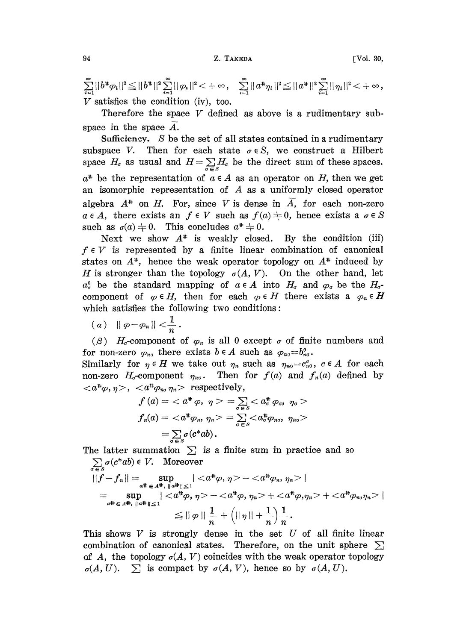$\sum_{i=1}^{\infty}||b^{*}\varphi_{i}||^{2}\leq ||b^{*}||^{2}\sum_{i=1}^{\infty}||\varphi_{i}||^{2}<+\infty\,,\quad \sum_{i=1}^{\infty}||a^{*}\eta_{i}||^{2}\leq ||a^{*}||^{2}\sum_{i=1}^{\infty}||\eta_{i}||^{2}<+\infty\,,$  $V$  satisfies the condition (iv), too.

Therefore the space  $V$  defined as above is a rudimentary subspace in the space  $\overline{A}$ .

Sufficiency. S be the set of all states contained in a rudimentary subspace V. Then for each state  $\sigma \in S$ , we construct a Hilbert space  $H_{\sigma}$  as usual and  $H=\sum_{\sigma\in S}H_{\sigma}$  be the direct sum of these spaces.  $a^*$  be the representation of  $a \in A$  as an operator on H, then we get an isomorphic representation of A as <sup>a</sup> uniformly closed operator algebra  $A^*$  on H. For, since V is dense in  $\overline{A}$ , for each non-zero  $a \in A$ , there exists an  $f \in V$  such as  $f(a) \neq 0$ , hence exists a  $\sigma \in S$ <br>such as  $\sigma(a) \neq 0$ . This concludes  $a^* \neq 0$ .<br>Noxt we show  $A^*$  is weakly closed. By the condition (iii)

Next we show  $A^*$  is weakly closed. By the condition (iii)  $f \in V$  is represented by a finite linear combination of canonical states on  $A^*$ , hence the weak operator topology on  $A^*$  induced by H is stronger than the topology  $\sigma(A, V)$ . On the other hand, let  $a_0^a$  be the standard mapping of  $a \in A$  into  $H_a$  and  $\varphi_a$  be the  $H_{a^-}$ H is stronger than the topology  $\sigma(A, V)$ . On the other hand, let  $a_0^0$  be the standard mapping of  $a \in A$  into  $H_a$  and  $\varphi_0$  be the  $H_a$ -component of  $\varphi \in H$ , then for each  $\varphi \in H$  there exists a  $\varphi_n \in H$  which sat which satisfies the following two conditions:

$$
(a) \quad \|\varphi-\varphi_n\|<\frac{1}{n}.
$$

( $\beta$ ) H<sub>0</sub>-component of  $\varphi_n$  is all 0 except  $\sigma$  of finite numbers and for non-zero  $\varphi_n$ , there exists  $b \in A$  such as  $\varphi_{n\sigma} = b_n^{\theta}$ .

Similarly for  $\eta \in H$  we take out  $\eta_n$  such as  $\eta_{no}=c^{\sigma}_{n0}, \; c \in A$  for each non-zero  $H_{\sigma}$ -component  $\eta_{n\sigma}$ . Then for  $f(a)$  and  $f_n(a)$  defined by  $\langle a^{\sharp}\varphi, \eta \rangle$ ,  $\langle a^{\sharp}\varphi_n, \eta_n \rangle$  respectively,

$$
f(a) = \langle a^*, \eta \rangle = \sum_{\sigma \in S} \langle a^*, \eta \rangle = \sum_{\sigma \in S} \langle a^*, \eta \rangle
$$
  

$$
f_n(a) = \langle a^*, \eta \rangle = \sum_{\sigma \in S} \langle a^*, \eta \rangle = \sum_{\sigma \in S} \langle a^*, \eta \rangle
$$
  

$$
= \sum_{\sigma \in S} \sigma(a^*ab).
$$

The latter summation  $\Sigma$  is a finite sum in practice and so  $\sum \sigma(c^*ab) \in V$ . Moreover

$$
||f - f_n|| = \sup_{a^{\#} \in A^{\#}, ||a^{\#}|| \le 1} | -  |
$$
  
= 
$$
\sup_{a^{\#} \in A^{\#}, ||a^{\#}|| \le 1} | -  +  +  |
$$
  

$$
\le ||\varphi|| \frac{1}{n} + (||\eta|| + \frac{1}{n}) \frac{1}{n}.
$$

This shows  $V$  is strongly dense in the set  $U$  of all finite linear combination of canonical states. Therefore, on the unit sphere  $\Sigma$ of A, the topology  $\sigma(A, V)$  coincides with the weak operator topology  $\sigma(A, U)$ .  $\sum$  is compact by  $\sigma(A, V)$ , hence so by  $\sigma(A, U)$ .